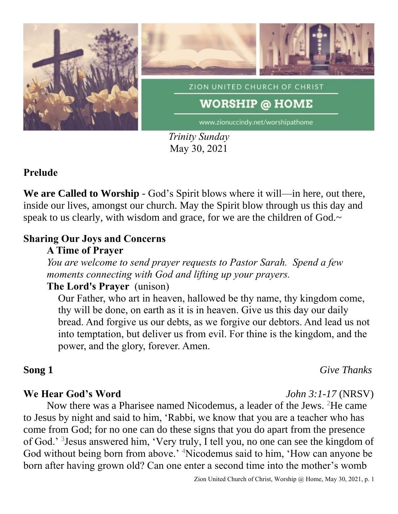

*Trinity Sunday* May 30, 2021

### **Prelude**

**We are Called to Worship** - God's Spirit blows where it will—in here, out there, inside our lives, amongst our church. May the Spirit blow through us this day and speak to us clearly, with wisdom and grace, for we are the children of God.~

### **Sharing Our Joys and Concerns**

### **A Time of Prayer**

*You are welcome to send prayer requests to Pastor Sarah. Spend a few moments connecting with God and lifting up your prayers.*

## **The Lord's Prayer** (unison)

Our Father, who art in heaven, hallowed be thy name, thy kingdom come, thy will be done, on earth as it is in heaven. Give us this day our daily bread. And forgive us our debts, as we forgive our debtors. And lead us not into temptation, but deliver us from evil. For thine is the kingdom, and the power, and the glory, forever. Amen.

**Song 1** *Give Thanks*

#### **We Hear God's Word** *John 3:1-17* (NRSV)

Now there was a Pharisee named Nicodemus, a leader of the Jews. <sup>2</sup>He came to Jesus by night and said to him, 'Rabbi, we know that you are a teacher who has come from God; for no one can do these signs that you do apart from the presence of God.' <sup>3</sup> Jesus answered him, 'Very truly, I tell you, no one can see the kingdom of God without being born from above.' <sup>4</sup>Nicodemus said to him, 'How can anyone be born after having grown old? Can one enter a second time into the mother's womb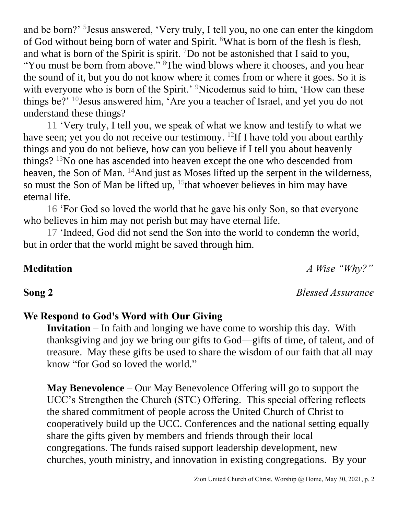and be born?' <sup>5</sup> Jesus answered, 'Very truly, I tell you, no one can enter the kingdom of God without being born of water and Spirit. <sup>6</sup>What is born of the flesh is flesh, and what is born of the Spirit is spirit.  $^{7}$ Do not be astonished that I said to you,

"You must be born from above." <sup>8</sup>The wind blows where it chooses, and you hear the sound of it, but you do not know where it comes from or where it goes. So it is with everyone who is born of the Spirit.' <sup>9</sup>Nicodemus said to him, 'How can these things be?' <sup>10</sup>Jesus answered him, 'Are you a teacher of Israel, and yet you do not understand these things?

11 'Very truly, I tell you, we speak of what we know and testify to what we have seen; yet you do not receive our testimony. <sup>12</sup>If I have told you about earthly things and you do not believe, how can you believe if I tell you about heavenly things? <sup>13</sup>No one has ascended into heaven except the one who descended from heaven, the Son of Man. <sup>14</sup>And just as Moses lifted up the serpent in the wilderness, so must the Son of Man be lifted up,  $15$  that whoever believes in him may have eternal life.

16 'For God so loved the world that he gave his only Son, so that everyone who believes in him may not perish but may have eternal life.

17 'Indeed, God did not send the Son into the world to condemn the world, but in order that the world might be saved through him.

## **Meditation** *A Wise "Why?"*

# **We Respond to God's Word with Our Giving**

**Invitation –** In faith and longing we have come to worship this day. With thanksgiving and joy we bring our gifts to God—gifts of time, of talent, and of treasure. May these gifts be used to share the wisdom of our faith that all may know "for God so loved the world."

**May Benevolence** – Our May Benevolence Offering will go to support the UCC's Strengthen the Church (STC) Offering. This special offering reflects the shared commitment of people across the United Church of Christ to cooperatively build up the UCC. Conferences and the national setting equally share the gifts given by members and friends through their local congregations. The funds raised support leadership development, new churches, youth ministry, and innovation in existing congregations. By your

**Song 2** *Blessed Assurance*